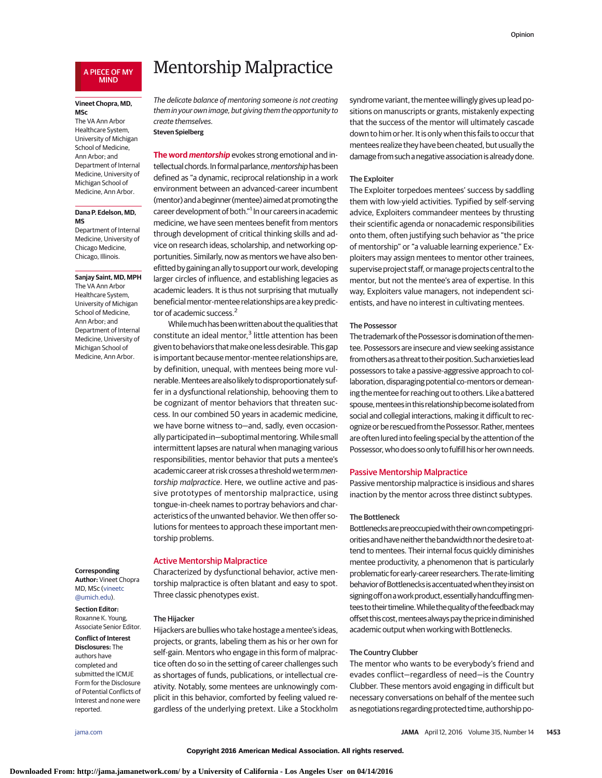## A PIECE OF MY MIND

## **Vineet Chopra, MD, MSc**

The VA Ann Arbor Healthcare System, University of Michigan School of Medicine, Ann Arbor; and Department of Internal Medicine, University of Michigan School of Medicine, Ann Arbor.

#### **Dana P. Edelson, MD, MS**

Department of Internal Medicine, University of Chicago Medicine, Chicago, Illinois.

**Sanjay Saint, MD, MPH** The VA Ann Arbor Healthcare System, University of Michigan School of Medicine, Ann Arbor; and Department of Internal Medicine, University of Michigan School of Medicine, Ann Arbor.

#### **Corresponding**

**Author:** Vineet Chopra MD, MSc [\(vineetc](mailto:vineetc@umich.edu) [@umich.edu\)](mailto:vineetc@umich.edu).

## **Section Editor:** Roxanne K. Young,

Associate Senior Editor. **Conflict of Interest**

**Disclosures:** The authors have completed and submitted the ICMJE Form for the Disclosure of Potential Conflicts of Interest and none were reported.

# Mentorship Malpractice

The delicate balance of mentoring someone is not creating them in your own image, but giving them the opportunity to create themselves.

## **Steven Spielberg**

**The word mentorship** evokes strong emotional and intellectual chords. In formal parlance, mentorship has been defined as "a dynamic, reciprocal relationship in a work environment between an advanced-career incumbent (mentor) and a beginner (mentee) aimed at promoting the career development of both."<sup>1</sup> In our careers in academic medicine, we have seen mentees benefit from mentors through development of critical thinking skills and advice on research ideas, scholarship, and networking opportunities. Similarly, now as mentors we have also benefitted by gaining an ally to support our work, developing larger circles of influence, and establishing legacies as academic leaders. It is thus not surprising that mutually beneficial mentor-mentee relationships are a key predictor of academic success.<sup>2</sup>

Whilemuch has beenwrittenabout the qualities that constitute an ideal mentor, $3$  little attention has been given to behaviors that make one less desirable. This gap is important because mentor-mentee relationships are, by definition, unequal, with mentees being more vulnerable.Menteesarealso likely to disproportionately suffer in a dysfunctional relationship, behooving them to be cognizant of mentor behaviors that threaten success. In our combined 50 years in academic medicine, we have borne witness to—and, sadly, even occasionally participated in—suboptimal mentoring.While small intermittent lapses are natural when managing various responsibilities, mentor behavior that puts a mentee's academic career at risk crosses a threshold we term mentorship malpractice. Here, we outline active and passive prototypes of mentorship malpractice, using tongue-in-cheek names to portray behaviors and characteristics of the unwanted behavior. We then offer solutions for mentees to approach these important mentorship problems.

# Active Mentorship Malpractice

Characterized by dysfunctional behavior, active mentorship malpractice is often blatant and easy to spot. Three classic phenotypes exist.

#### The Hijacker

Hijackers are bullies who take hostage a mentee's ideas, projects, or grants, labeling them as his or her own for self-gain. Mentors who engage in this form of malpractice often do so in the setting of career challenges such as shortages of funds, publications, or intellectual creativity. Notably, some mentees are unknowingly complicit in this behavior, comforted by feeling valued regardless of the underlying pretext. Like a Stockholm syndrome variant, thementee willingly gives up lead positions on manuscripts or grants, mistakenly expecting that the success of the mentor will ultimately cascade down to him or her. It is only when this fails to occur that mentees realize they have been cheated, but usually the damage from such a negative association is already done.

## The Exploiter

The Exploiter torpedoes mentees' success by saddling them with low-yield activities. Typified by self-serving advice, Exploiters commandeer mentees by thrusting their scientific agenda or nonacademic responsibilities onto them, often justifying such behavior as "the price of mentorship" or "a valuable learning experience." Exploiters may assign mentees to mentor other trainees, supervise project staff, or manage projects central to the mentor, but not the mentee's area of expertise. In this way, Exploiters value managers, not independent scientists, and have no interest in cultivating mentees.

#### The Possessor

The trademark of the Possessor is domination of the mentee. Possessors are insecure and view seeking assistance from others as a threat to their position. Such anxieties lead possessors to take a passive-aggressive approach to collaboration, disparaging potential co-mentors or demeaning thementee for reaching out to others. Like a battered spouse, mentees in this relationship become isolated from social and collegial interactions, making it difficult to recognize or be rescued from the Possessor. Rather, mentees are often lured into feeling special by the attention of the Possessor, who does so only to fulfill his or her own needs.

#### Passive Mentorship Malpractice

Passive mentorship malpractice is insidious and shares inaction by the mentor across three distinct subtypes.

#### The Bottleneck

Bottlenecksarepreoccupiedwith theirowncompetingpriorities and have neither the bandwidth nor the desire to attend to mentees. Their internal focus quickly diminishes mentee productivity, a phenomenon that is particularly problematic forearly-career researchers.The rate-limiting behavior of Bottlenecks is accentuated when they insist on signing off on a work product, essentially handcuffing mentees to their timeline. While the quality of the feedback may offset this cost, mentees always pay the price in diminished academic output when working with Bottlenecks.

# The Country Clubber

The mentor who wants to be everybody's friend and evades conflict—regardless of need—is the Country Clubber. These mentors avoid engaging in difficult but necessary conversations on behalf of the mentee such as negotiations regarding protected time, authorship po-